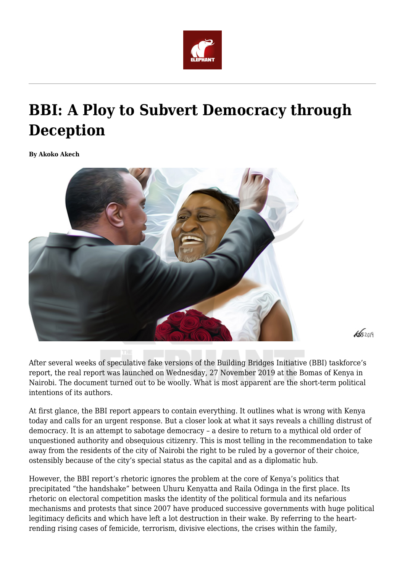

# **BBI: A Ploy to Subvert Democracy through Deception**

**By Akoko Akech**



 $45209$ 

After several weeks of speculative fake versions of the Building Bridges Initiative (BBI) taskforce's report, the real report was launched on Wednesday, 27 November 2019 at the Bomas of Kenya in Nairobi. The document turned out to be woolly. What is most apparent are the short-term political intentions of its authors.

At first glance, the BBI report appears to contain everything. It outlines what is wrong with Kenya today and calls for an urgent response. But a closer look at what it says reveals a chilling distrust of democracy. It is an attempt to sabotage democracy – a desire to return to a mythical old order of unquestioned authority and obsequious citizenry. This is most telling in the recommendation to take away from the residents of the city of Nairobi the right to be ruled by a governor of their choice, ostensibly because of the city's special status as the capital and as a diplomatic hub.

However, the BBI report's rhetoric ignores the problem at the core of Kenya's politics that precipitated "the handshake" between Uhuru Kenyatta and Raila Odinga in the first place. Its rhetoric on electoral competition masks the identity of the political formula and its nefarious mechanisms and protests that since 2007 have produced successive governments with huge political legitimacy deficits and which have left a lot destruction in their wake. By referring to the heartrending rising cases of femicide, terrorism, divisive elections, the crises within the family,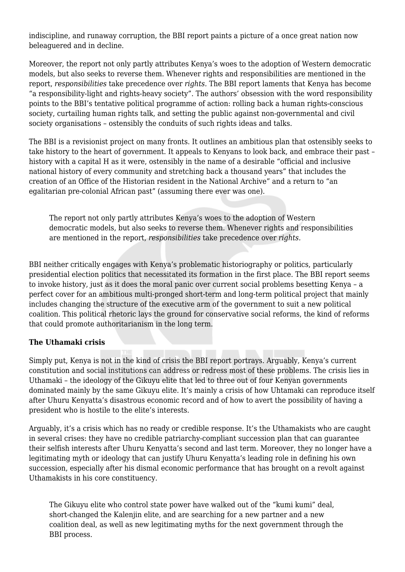indiscipline, and runaway corruption, the BBI report paints a picture of a once great nation now beleaguered and in decline.

Moreover, the report not only partly attributes Kenya's woes to the adoption of Western democratic models, but also seeks to reverse them. Whenever rights and responsibilities are mentioned in the report, *responsibilities* take precedence over *rights.* The BBI report laments that Kenya has become "a responsibility-light and rights-heavy society". The authors' obsession with the word responsibility points to the BBI's tentative political programme of action: rolling back a human rights-conscious society, curtailing human rights talk, and setting the public against non-governmental and civil society organisations – ostensibly the conduits of such rights ideas and talks.

The BBI is a revisionist project on many fronts. It outlines an ambitious plan that ostensibly seeks to take history to the heart of government. It appeals to Kenyans to look back, and embrace their past – history with a capital H as it were, ostensibly in the name of a desirable "official and inclusive national history of every community and stretching back a thousand years" that includes the creation of an Office of the Historian resident in the National Archive" and a return to "an egalitarian pre-colonial African past" (assuming there ever was one).

The report not only partly attributes Kenya's woes to the adoption of Western democratic models, but also seeks to reverse them. Whenever rights and responsibilities are mentioned in the report, *responsibilities* take precedence over *rights.*

BBI neither critically engages with Kenya's problematic historiography or politics, particularly presidential election politics that necessitated its formation in the first place. The BBI report seems to invoke history, just as it does the moral panic over current social problems besetting Kenya – a perfect cover for an ambitious multi-pronged short-term and long-term political project that mainly includes changing the structure of the executive arm of the government to suit a new political coalition. This political rhetoric lays the ground for conservative social reforms, the kind of reforms that could promote authoritarianism in the long term.

## **The Uthamaki crisis**

Simply put, Kenya is not in the kind of crisis the BBI report portrays. Arguably, Kenya's current constitution and social institutions can address or redress most of these problems. The crisis lies in Uthamaki – the ideology of the Gikuyu elite that led to three out of four Kenyan governments dominated mainly by the same Gikuyu elite. It's mainly a crisis of how Uhtamaki can reproduce itself after Uhuru Kenyatta's disastrous economic record and of how to avert the possibility of having a president who is hostile to the elite's interests.

Arguably, it's a crisis which has no ready or credible response. It's the Uthamakists who are caught in several crises: they have no credible patriarchy-compliant succession plan that can guarantee their selfish interests after Uhuru Kenyatta's second and last term. Moreover, they no longer have a legitimating myth or ideology that can justify Uhuru Kenyatta's leading role in defining his own succession, especially after his dismal economic performance that has brought on a revolt against Uthamakists in his core constituency.

The Gikuyu elite who control state power have walked out of the "kumi kumi" deal, short-changed the Kalenjin elite, and are searching for a new partner and a new coalition deal, as well as new legitimating myths for the next government through the BBI process.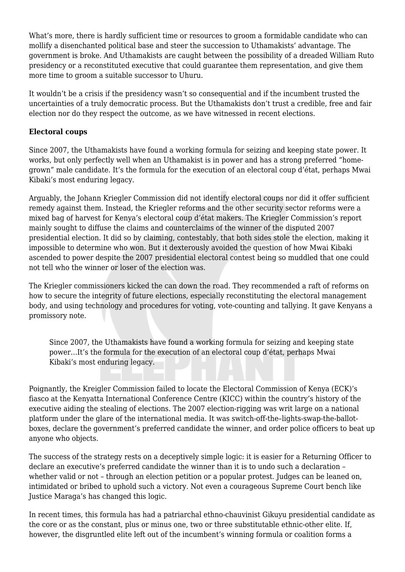What's more, there is hardly sufficient time or resources to groom a formidable candidate who can mollify a disenchanted political base and steer the succession to Uthamakists' advantage. The government is broke. And Uthamakists are caught between the possibility of a dreaded William Ruto presidency or a reconstituted executive that could guarantee them representation, and give them more time to groom a suitable successor to Uhuru.

It wouldn't be a crisis if the presidency wasn't so consequential and if the incumbent trusted the uncertainties of a truly democratic process. But the Uthamakists don't trust a credible, free and fair election nor do they respect the outcome, as we have witnessed in recent elections.

## **Electoral coups**

Since 2007, the Uthamakists have found a working formula for seizing and keeping state power. It works, but only perfectly well when an Uthamakist is in power and has a strong preferred "homegrown" male candidate. It's the formula for the execution of an electoral coup d'état, perhaps Mwai Kibaki's most enduring legacy.

Arguably, the Johann Kriegler Commission did not identify electoral coups nor did it offer sufficient remedy against them. Instead, the Kriegler reforms and the other security sector reforms were a mixed bag of harvest for Kenya's electoral coup d'état makers. The Kriegler Commission's report mainly sought to diffuse the claims and counterclaims of the winner of the disputed 2007 presidential election. It did so by claiming, contestably, that both sides stole the election, making it impossible to determine who won. But it dexterously avoided the question of how Mwai Kibaki ascended to power despite the 2007 presidential electoral contest being so muddled that one could not tell who the winner or loser of the election was.

The Kriegler commissioners kicked the can down the road. They recommended a raft of reforms on how to secure the integrity of future elections, especially reconstituting the electoral management body, and using technology and procedures for voting, vote-counting and tallying. It gave Kenyans a promissory note.

Since 2007, the Uthamakists have found a working formula for seizing and keeping state power…It's the formula for the execution of an electoral coup d'état, perhaps Mwai Kibaki's most enduring legacy.

Poignantly, the Kreigler Commission failed to locate the Electoral Commission of Kenya (ECK)'s fiasco at the Kenyatta International Conference Centre (KICC) within the country's history of the executive aiding the stealing of elections. The 2007 election-rigging was writ large on a national platform under the glare of the international media. It was switch-off-the–lights-swap-the-ballotboxes, declare the government's preferred candidate the winner, and order police officers to beat up anyone who objects.

The success of the strategy rests on a deceptively simple logic: it is easier for a Returning Officer to declare an executive's preferred candidate the winner than it is to undo such a declaration – whether valid or not – through an election petition or a popular protest. Judges can be leaned on, intimidated or bribed to uphold such a victory. Not even a courageous Supreme Court bench like Justice Maraga's has changed this logic.

In recent times, this formula has had a patriarchal ethno-chauvinist Gikuyu presidential candidate as the core or as the constant, plus or minus one, two or three substitutable ethnic-other elite. If, however, the disgruntled elite left out of the incumbent's winning formula or coalition forms a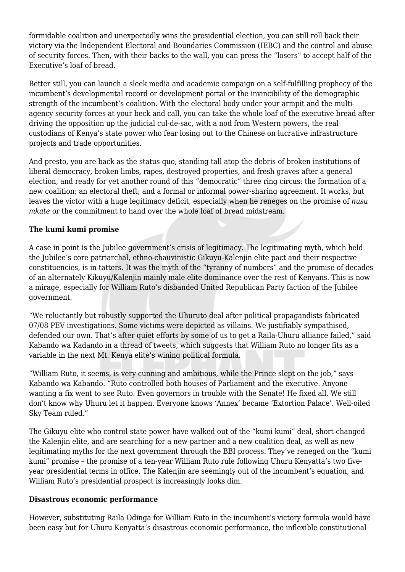formidable coalition and unexpectedly wins the presidential election, you can still roll back their victory via the Independent Electoral and Boundaries Commission (IEBC) and the control and abuse of security forces. Then, with their backs to the wall, you can press the "losers" to accept half of the Executive's loaf of bread.

Better still, you can launch a sleek media and academic campaign on a self-fulfilling prophecy of the incumbent's developmental record or development portal or the invincibility of the demographic strength of the incumbent's coalition. With the electoral body under your armpit and the multiagency security forces at your beck and call, you can take the whole loaf of the executive bread after driving the opposition up the judicial cul-de-sac, with a nod from Western powers, the real custodians of Kenya's state power who fear losing out to the Chinese on lucrative infrastructure projects and trade opportunities.

And presto, you are back as the status quo, standing tall atop the debris of broken institutions of liberal democracy, broken limbs, rapes, destroyed properties, and fresh graves after a general election, and ready for yet another round of this "democratic" three ring circus: the formation of a new coalition; an electoral theft; and a formal or informal power-sharing agreement. It works, but leaves the victor with a huge legitimacy deficit, especially when he reneges on the promise of *nusu mkate* or the commitment to hand over the whole loaf of bread midstream.

## **The kumi kumi promise**

A case in point is the Jubilee government's crisis of legitimacy. The legitimating myth, which held the Jubilee's core patriarchal, ethno-chauvinistic Gikuyu-Kalenjin elite pact and their respective constituencies, is in tatters. It was the myth of the "tyranny of numbers" and the promise of decades of an alternately Kikuyu/Kalenjin mainly male elite dominance over the rest of Kenyans. This is now a mirage, especially for William Ruto's disbanded United Republican Party faction of the Jubilee government.

"We reluctantly but robustly supported the Uhuruto deal after political propagandists fabricated 07/08 PEV investigations. Some victims were depicted as villains. We justifiably sympathised, defended our own. That's after quiet efforts by some of us to get a Raila-Uhuru alliance failed," said Kabando wa Kadando in a thread of tweets, which suggests that William Ruto no longer fits as a variable in the next Mt. Kenya elite's wining political formula.

"William Ruto, it seems, is very cunning and ambitious, while the Prince slept on the job," says Kabando wa Kabando. "Ruto controlled both houses of Parliament and the executive. Anyone wanting a fix went to see Ruto. Even governors in trouble with the Senate! He fixed all. We still don't know why Uhuru let it happen. Everyone knows 'Annex' became 'Extortion Palace'. Well-oiled Sky Team ruled."

The Gikuyu elite who control state power have walked out of the "kumi kumi" deal, short-changed the Kalenjin elite, and are searching for a new partner and a new coalition deal, as well as new legitimating myths for the next government through the BBI process. They've reneged on the "kumi kumi" promise – the promise of a ten-year William Ruto rule following Uhuru Kenyatta's two fiveyear presidential terms in office. The Kalenjin are seemingly out of the incumbent's equation, and William Ruto's presidential prospect is increasingly looks dim.

#### **Disastrous economic performance**

However, substituting Raila Odinga for William Ruto in the incumbent's victory formula would have been easy but for Uhuru Kenyatta's disastrous economic performance, the inflexible constitutional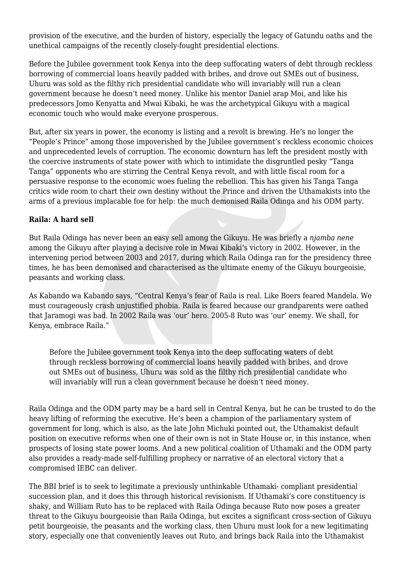provision of the executive, and the burden of history, especially the legacy of Gatundu oaths and the unethical campaigns of the recently closely-fought presidential elections.

Before the Jubilee government took Kenya into the deep suffocating waters of debt through reckless borrowing of commercial loans heavily padded with bribes, and drove out SMEs out of business, Uhuru was sold as the filthy rich presidential candidate who will invariably will run a clean government because he doesn't need money. Unlike his mentor Daniel arap Moi, and like his predecessors Jomo Kenyatta and Mwai Kibaki, he was the archetypical Gikuyu with a magical economic touch who would make everyone prosperous.

But, after six years in power, the economy is listing and a revolt is brewing. He's no longer the "People's Prince" among those impoverished by the Jubilee government's reckless economic choices and unprecedented levels of corruption. The economic downturn has left the president mostly with the coercive instruments of state power with which to intimidate the disgruntled pesky "Tanga Tanga" opponents who are stirring the Central Kenya revolt, and with little fiscal room for a persuasive response to the economic woes fueling the rebellion. This has given his Tanga Tanga critics wide room to chart their own destiny without the Prince and driven the Uthamakists into the arms of a previous implacable foe for help: the much demonised Raila Odinga and his ODM party.

### **Raila: A hard sell**

But Raila Odinga has never been an easy sell among the Gikuyu. He was briefly a *njamba nene* among the Gikuyu after playing a decisive role in Mwai Kibaki's victory in 2002. However, in the intervening period between 2003 and 2017, during which Raila Odinga ran for the presidency three times, he has been demonised and characterised as the ultimate enemy of the Gikuyu bourgeoisie, peasants and working class.

As Kabando wa Kabando says, "Central Kenya's fear of Raila is real. Like Boers feared Mandela. We must courageously crash unjustified phobia. Raila is feared because our grandparents were oathed that Jaramogi was bad. In 2002 Raila was 'our' hero. 2005-8 Ruto was 'our' enemy. We shall, for Kenya, embrace Raila."

Before the Jubilee government took Kenya into the deep suffocating waters of debt through reckless borrowing of commercial loans heavily padded with bribes, and drove out SMEs out of business, Uhuru was sold as the filthy rich presidential candidate who will invariably will run a clean government because he doesn't need money.

Raila Odinga and the ODM party may be a hard sell in Central Kenya, but he can be trusted to do the heavy lifting of reforming the executive. He's been a champion of the parliamentary system of government for long, which is also, as the late John Michuki pointed out, the Uthamakist default position on executive reforms when one of their own is not in State House or, in this instance, when prospects of losing state power looms. And a new political coalition of Uthamaki and the ODM party also provides a ready-made self-fulfilling prophecy or narrative of an electoral victory that a compromised IEBC can deliver.

The BBI brief is to seek to legitimate a previously unthinkable Uthamaki- compliant presidential succession plan, and it does this through historical revisionism. If Uthamaki's core constituency is shaky, and William Ruto has to be replaced with Raila Odinga because Ruto now poses a greater threat to the Gikuyu bourgeoisie than Raila Odinga, but excites a significant cross-section of Gikuyu petit bourgeoisie, the peasants and the working class, then Uhuru must look for a new legitimating story, especially one that conveniently leaves out Ruto, and brings back Raila into the Uthamakist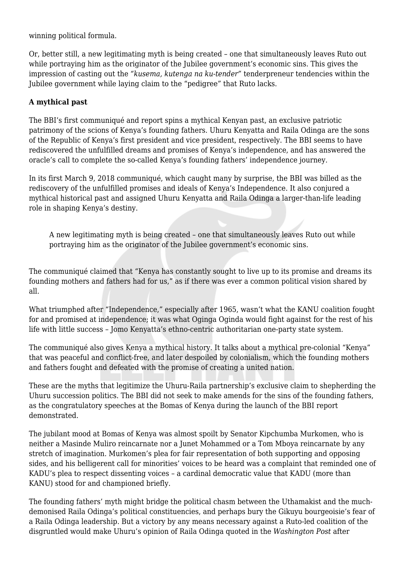winning political formula.

Or, better still, a new legitimating myth is being created – one that simultaneously leaves Ruto out while portraying him as the originator of the Jubilee government's economic sins. This gives the impression of casting out the *"kusema, kutenga na ku-tender"* tenderpreneur tendencies within the Jubilee government while laying claim to the "pedigree" that Ruto lacks.

## **A mythical past**

The BBI's first communiqué and report spins a mythical Kenyan past, an exclusive patriotic patrimony of the scions of Kenya's founding fathers. Uhuru Kenyatta and Raila Odinga are the sons of the Republic of Kenya's first president and vice president, respectively. The BBI seems to have rediscovered the unfulfilled dreams and promises of Kenya's independence, and has answered the oracle's call to complete the so-called Kenya's founding fathers' independence journey.

In its first March 9, 2018 communiqué, which caught many by surprise, the BBI was billed as the rediscovery of the unfulfilled promises and ideals of Kenya's Independence. It also conjured a mythical historical past and assigned Uhuru Kenyatta and Raila Odinga a larger-than-life leading role in shaping Kenya's destiny.

A new legitimating myth is being created – one that simultaneously leaves Ruto out while portraying him as the originator of the Jubilee government's economic sins.

The communiqué claimed that "Kenya has constantly sought to live up to its promise and dreams its founding mothers and fathers had for us," as if there was ever a common political vision shared by all.

What triumphed after "Independence," especially after 1965, wasn't what the KANU coalition fought for and promised at independence; it was what Oginga Oginda would fight against for the rest of his life with little success – Jomo Kenyatta's ethno-centric authoritarian one-party state system.

The communiqué also gives Kenya a mythical history. It talks about a mythical pre-colonial "Kenya" that was peaceful and conflict-free, and later despoiled by colonialism, which the founding mothers and fathers fought and defeated with the promise of creating a united nation.

These are the myths that legitimize the Uhuru-Raila partnership's exclusive claim to shepherding the Uhuru succession politics. The BBI did not seek to make amends for the sins of the founding fathers, as the congratulatory speeches at the Bomas of Kenya during the launch of the BBI report demonstrated.

The jubilant mood at Bomas of Kenya was almost spoilt by Senator Kipchumba Murkomen, who is neither a Masinde Muliro reincarnate nor a Junet Mohammed or a Tom Mboya reincarnate by any stretch of imagination. Murkomen's plea for fair representation of both supporting and opposing sides, and his belligerent call for minorities' voices to be heard was a complaint that reminded one of KADU's plea to respect dissenting voices – a cardinal democratic value that KADU (more than KANU) stood for and championed briefly.

The founding fathers' myth might bridge the political chasm between the Uthamakist and the muchdemonised Raila Odinga's political constituencies, and perhaps bury the Gikuyu bourgeoisie's fear of a Raila Odinga leadership. But a victory by any means necessary against a Ruto-led coalition of the disgruntled would make Uhuru's opinion of Raila Odinga quoted in the *Washington Post* after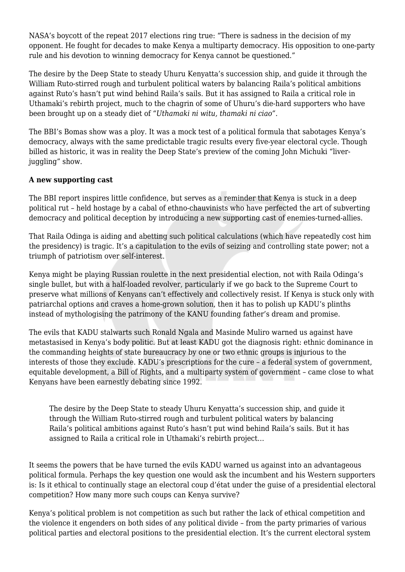NASA's boycott of the repeat 2017 elections ring true: "There is sadness in the decision of my opponent. He fought for decades to make Kenya a multiparty democracy. His opposition to one-party rule and his devotion to winning democracy for Kenya cannot be questioned."

The desire by the Deep State to steady Uhuru Kenyatta's succession ship, and guide it through the William Ruto-stirred rough and turbulent political waters by balancing Raila's political ambitions against Ruto's hasn't put wind behind Raila's sails. But it has assigned to Raila a critical role in Uthamaki's rebirth project, much to the chagrin of some of Uhuru's die-hard supporters who have been brought up on a steady diet of "*Uthamaki ni witu, thamaki ni ciao".*

The BBI's Bomas show was a ploy. It was a mock test of a political formula that sabotages Kenya's democracy, always with the same predictable tragic results every five-year electoral cycle. Though billed as historic, it was in reality the Deep State's preview of the coming John Michuki "liverjuggling" show.

## **A new supporting cast**

The BBI report inspires little confidence, but serves as a reminder that Kenya is stuck in a deep political rut – held hostage by a cabal of ethno-chauvinists who have perfected the art of subverting democracy and political deception by introducing a new supporting cast of enemies-turned-allies.

That Raila Odinga is aiding and abetting such political calculations (which have repeatedly cost him the presidency) is tragic. It's a capitulation to the evils of seizing and controlling state power; not a triumph of patriotism over self-interest.

Kenya might be playing Russian roulette in the next presidential election, not with Raila Odinga's single bullet, but with a half-loaded revolver, particularly if we go back to the Supreme Court to preserve what millions of Kenyans can't effectively and collectively resist. If Kenya is stuck only with patriarchal options and craves a home-grown solution, then it has to polish up KADU's plinths instead of mythologising the patrimony of the KANU founding father's dream and promise.

The evils that KADU stalwarts such Ronald Ngala and Masinde Muliro warned us against have metastasised in Kenya's body politic. But at least KADU got the diagnosis right: ethnic dominance in the commanding heights of state bureaucracy by one or two ethnic groups is injurious to the interests of those they exclude. KADU's prescriptions for the cure – a federal system of government, equitable development, a Bill of Rights, and a multiparty system of government – came close to what Kenyans have been earnestly debating since 1992.

The desire by the Deep State to steady Uhuru Kenyatta's succession ship, and guide it through the William Ruto-stirred rough and turbulent political waters by balancing Raila's political ambitions against Ruto's hasn't put wind behind Raila's sails. But it has assigned to Raila a critical role in Uthamaki's rebirth project…

It seems the powers that be have turned the evils KADU warned us against into an advantageous political formula. Perhaps the key question one would ask the incumbent and his Western supporters is: Is it ethical to continually stage an electoral coup d'état under the guise of a presidential electoral competition? How many more such coups can Kenya survive?

Kenya's political problem is not competition as such but rather the lack of ethical competition and the violence it engenders on both sides of any political divide – from the party primaries of various political parties and electoral positions to the presidential election. It's the current electoral system